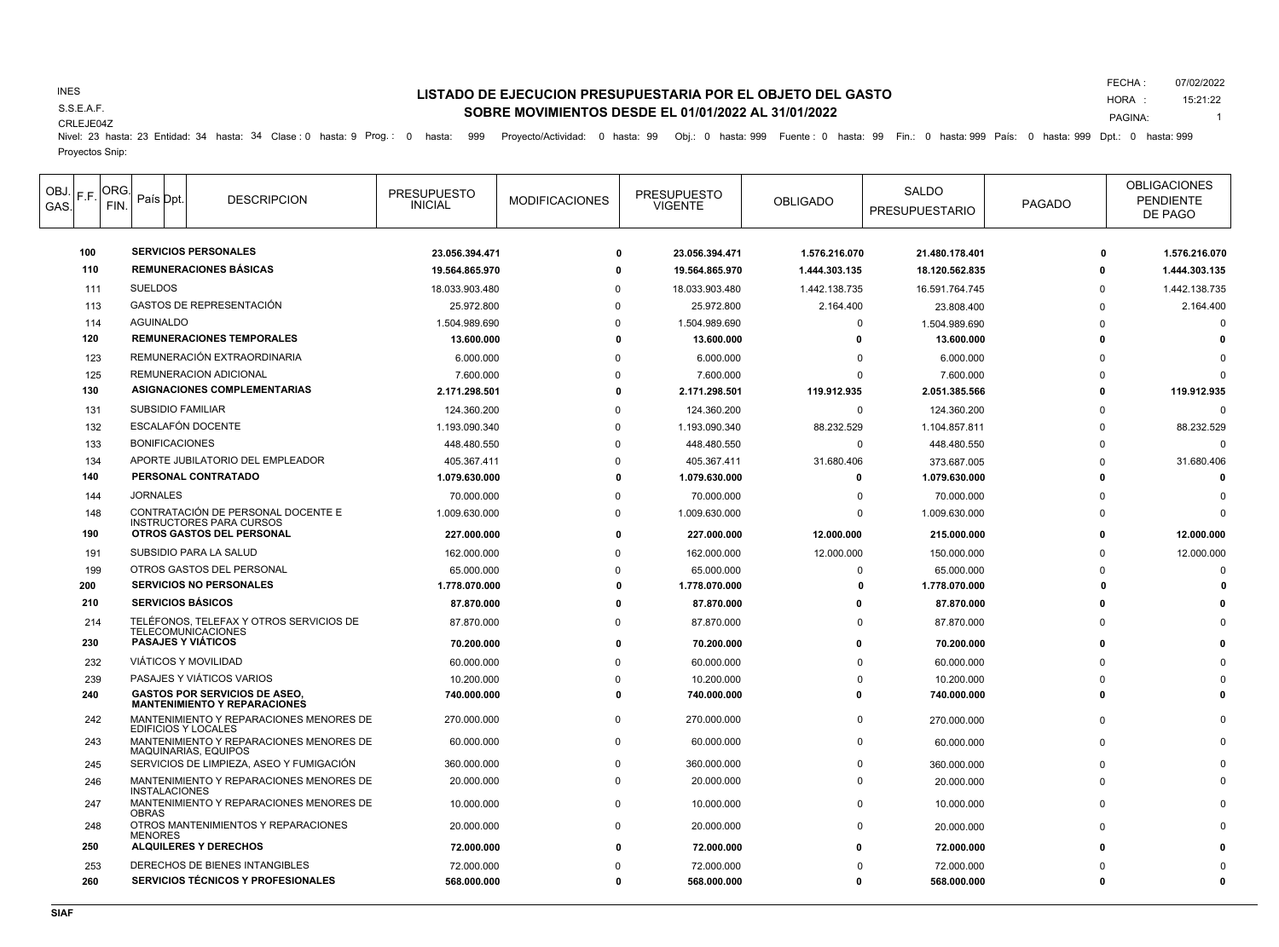## INES

S.S.E.A.F.

### CRLEJE04Z

# **LISTADO DE EJECUCION PRESUPUESTARIA POR EL OBJETO DEL GASTO SOBRE MOVIMIENTOS DESDE EL 01/01/2022 AL 31/01/2022**

FECHA : 07/02/2022

HORA : 15:21:22

PAGINA: 1

Nivel: 23 hasta: 23 Entidad: 34 hasta: 34 Clase : 0 hasta: 9 Prog.: 0 hasta: 999 Proyecto/Actividad: 0 hasta: 99 Obj.: 0 hasta: 999 Fuente : 0 hasta: 99 Fin.: 0 hasta: 999 País: 0 hasta: 999 Dpt.: 0 hasta: 999 Proyectos Snip:

| OBJ.<br>GAS. | F.F. | ORG.<br>FIN. | País Dpt.                | <b>DESCRIPCION</b>                                                          | <b>PRESUPUESTO</b><br><b>INICIAL</b> | <b>MODIFICACIONES</b> | <b>PRESUPUESTO</b><br><b>VIGENTE</b> | <b>OBLIGADO</b> | <b>SALDO</b><br><b>PRESUPUESTARIO</b> | <b>PAGADO</b> | <b>OBLIGACIONES</b><br><b>PENDIENTE</b><br>DE PAGO |
|--------------|------|--------------|--------------------------|-----------------------------------------------------------------------------|--------------------------------------|-----------------------|--------------------------------------|-----------------|---------------------------------------|---------------|----------------------------------------------------|
|              | 100  |              |                          | <b>SERVICIOS PERSONALES</b>                                                 | 23.056.394.471                       |                       | 23.056.394.471<br>$\Omega$           | 1.576.216.070   | 21.480.178.401                        | $\Omega$      | 1.576.216.070                                      |
|              | 110  |              |                          | <b>REMUNERACIONES BASICAS</b>                                               | 19.564.865.970                       | ŋ                     | 19.564.865.970                       | 1.444.303.135   | 18.120.562.835                        | $\Omega$      | 1.444.303.135                                      |
|              | 111  |              | <b>SUELDOS</b>           |                                                                             | 18.033.903.480                       | n                     | 18.033.903.480                       | 1.442.138.735   | 16.591.764.745                        | $\Omega$      | 1.442.138.735                                      |
|              | 113  |              |                          | GASTOS DE REPRESENTACIÓN                                                    | 25.972.800                           | $\Omega$              | 25.972.800                           | 2.164.400       | 23.808.400                            | $\Omega$      | 2.164.400                                          |
|              | 114  |              | <b>AGUINALDO</b>         |                                                                             | 1.504.989.690                        | $\Omega$              | 1.504.989.690                        | $\Omega$        | 1.504.989.690                         |               | $\Omega$                                           |
|              | 120  |              |                          | REMUNERACIONES TEMPORALES                                                   | 13.600.000                           | O                     | 13.600.000                           | 0               | 13.600.000                            |               |                                                    |
|              | 123  |              |                          | REMUNERACIÓN EXTRAORDINARIA                                                 | 6.000.000                            |                       | 6.000.000                            | O               | 6.000.000                             |               |                                                    |
|              | 125  |              |                          | REMUNERACION ADICIONAL                                                      | 7.600.000                            |                       | 7.600.000                            | $\Omega$        | 7.600.000                             |               | $\Omega$                                           |
|              | 130  |              |                          | <b>ASIGNACIONES COMPLEMENTARIAS</b>                                         | 2.171.298.501                        |                       | 2.171.298.501                        | 119.912.935     | 2.051.385.566                         | $\Omega$      | 119.912.935                                        |
|              | 131  |              | <b>SUBSIDIO FAMILIAR</b> |                                                                             | 124.360.200                          | $\Omega$              | 124.360.200                          | $\Omega$        | 124.360.200                           |               | $\Omega$                                           |
|              | 132  |              |                          | ESCALAFÓN DOCENTE                                                           | 1.193.090.340                        | $\Omega$              | 1.193.090.340                        | 88.232.529      | 1.104.857.811                         | $\Omega$      | 88.232.529                                         |
|              | 133  |              | <b>BONIFICACIONES</b>    |                                                                             | 448.480.550                          |                       | 448.480.550                          | $\Omega$        | 448.480.550                           |               | $\Omega$                                           |
|              | 134  |              |                          | APORTE JUBILATORIO DEL EMPLEADOR                                            | 405.367.411                          |                       | 405.367.411                          | 31.680.406      | 373.687.005                           |               | 31.680.406                                         |
|              | 140  |              |                          | PERSONAL CONTRATADO                                                         | 1.079.630.000                        | ŋ                     | 1.079.630.000                        | $\Omega$        | 1.079.630.000                         | $\mathbf{r}$  | $\Omega$                                           |
|              | 144  |              | <b>JORNALES</b>          |                                                                             | 70.000.000                           | $\Omega$              | 70.000.000                           | $\Omega$        | 70.000.000                            |               | $\Omega$                                           |
|              | 148  |              |                          | CONTRATACIÓN DE PERSONAL DOCENTE E                                          | 1.009.630.000                        | $\Omega$              | 1.009.630.000                        | $\mathbf 0$     | 1.009.630.000                         |               | $\Omega$                                           |
|              | 190  |              |                          | <b>INSTRUCTORES PARA CURSOS</b><br><b>OTROS GASTOS DEL PERSONAL</b>         | 227.000.000                          | O                     | 227.000.000                          | 12.000.000      | 215.000.000                           | $\Omega$      | 12.000.000                                         |
|              | 191  |              |                          | SUBSIDIO PARA LA SALUD                                                      | 162.000.000                          |                       | 162.000.000                          | 12.000.000      | 150.000.000                           | $\Omega$      | 12.000.000                                         |
|              | 199  |              |                          | OTROS GASTOS DEL PERSONAL                                                   | 65.000.000                           | n                     | 65.000.000                           | $\Omega$        | 65.000.000                            |               | $\Omega$                                           |
|              | 200  |              |                          | <b>SERVICIOS NO PERSONALES</b>                                              | 1.778.070.000                        |                       | 1.778.070.000                        | O               | 1.778.070.000                         |               |                                                    |
|              | 210  |              |                          | <b>SERVICIOS BÁSICOS</b>                                                    | 87.870.000                           | O                     | 87.870.000                           | 0               | 87.870.000                            |               |                                                    |
|              | 214  |              |                          | TELÉFONOS, TELEFAX Y OTROS SERVICIOS DE<br><b>TELECOMUNICACIONES</b>        | 87.870.000                           | $\Omega$              | 87.870.000                           | $\Omega$        | 87.870.000                            |               |                                                    |
|              | 230  |              |                          | <b>PASAJES Y VIÁTICOS</b>                                                   | 70.200.000                           | 0                     | 70.200.000                           | O               | 70.200.000                            |               |                                                    |
|              | 232  |              |                          | <b>VIÁTICOS Y MOVILIDAD</b>                                                 | 60.000.000                           |                       | 60.000.000                           | $\Omega$        | 60.000.000                            |               |                                                    |
|              | 239  |              |                          | PASAJES Y VIÁTICOS VARIOS                                                   | 10.200.000                           | $\Omega$              | 10.200.000                           | $\Omega$        | 10.200.000                            |               |                                                    |
|              | 240  |              |                          | <b>GASTOS POR SERVICIOS DE ASEO,</b><br><b>MANTENIMIENTO Y REPARACIONES</b> | 740.000.000                          |                       | 740.000.000<br>0                     | $\Omega$        | 740.000.000                           |               |                                                    |
|              | 242  |              |                          | MANTENIMIENTO Y REPARACIONES MENORES DE<br>EDIFICIOS Y LOCALES              | 270.000.000                          | $\Omega$              | 270.000.000                          | $\Omega$        | 270.000.000                           |               |                                                    |
|              | 243  |              |                          | MANTENIMIENTO Y REPARACIONES MENORES DE<br><b>MAQUINARIAS, EQUIPOS</b>      | 60.000.000                           | $\Omega$              | 60.000.000                           | $\Omega$        | 60.000.000                            |               |                                                    |
|              | 245  |              |                          | SERVICIOS DE LIMPIEZA. ASEO Y FUMIGACIÓN                                    | 360.000.000                          | $\Omega$              | 360.000.000                          | $\Omega$        | 360.000.000                           | n             |                                                    |
|              | 246  |              | <b>INSTALACIONES</b>     | MANTENIMIENTO Y REPARACIONES MENORES DE                                     | 20.000.000                           | $\Omega$              | 20.000.000                           | $\Omega$        | 20.000.000                            |               |                                                    |
|              | 247  |              | <b>OBRAS</b>             | MANTENIMIENTO Y REPARACIONES MENORES DE                                     | 10.000.000                           | $\mathbf 0$           | 10.000.000                           | 0               | 10.000.000                            |               |                                                    |
|              | 248  |              | <b>MENORES</b>           | OTROS MANTENIMIENTOS Y REPARACIONES                                         | 20.000.000                           | $\Omega$              | 20.000.000                           | O               | 20.000.000                            |               |                                                    |
|              | 250  |              |                          | <b>ALQUILERES Y DERECHOS</b>                                                | 72.000.000                           |                       | 72.000.000                           |                 | 72.000.000                            |               |                                                    |
|              | 253  |              |                          | DERECHOS DE BIENES INTANGIBLES                                              | 72.000.000                           |                       | 72.000.000                           | O               | 72.000.000                            |               |                                                    |
|              | 260  |              |                          | SERVICIOS TÉCNICOS Y PROFESIONALES                                          | 568.000.000                          |                       | O<br>568.000.000                     | O               | 568.000.000                           | $\Omega$      | $\Omega$                                           |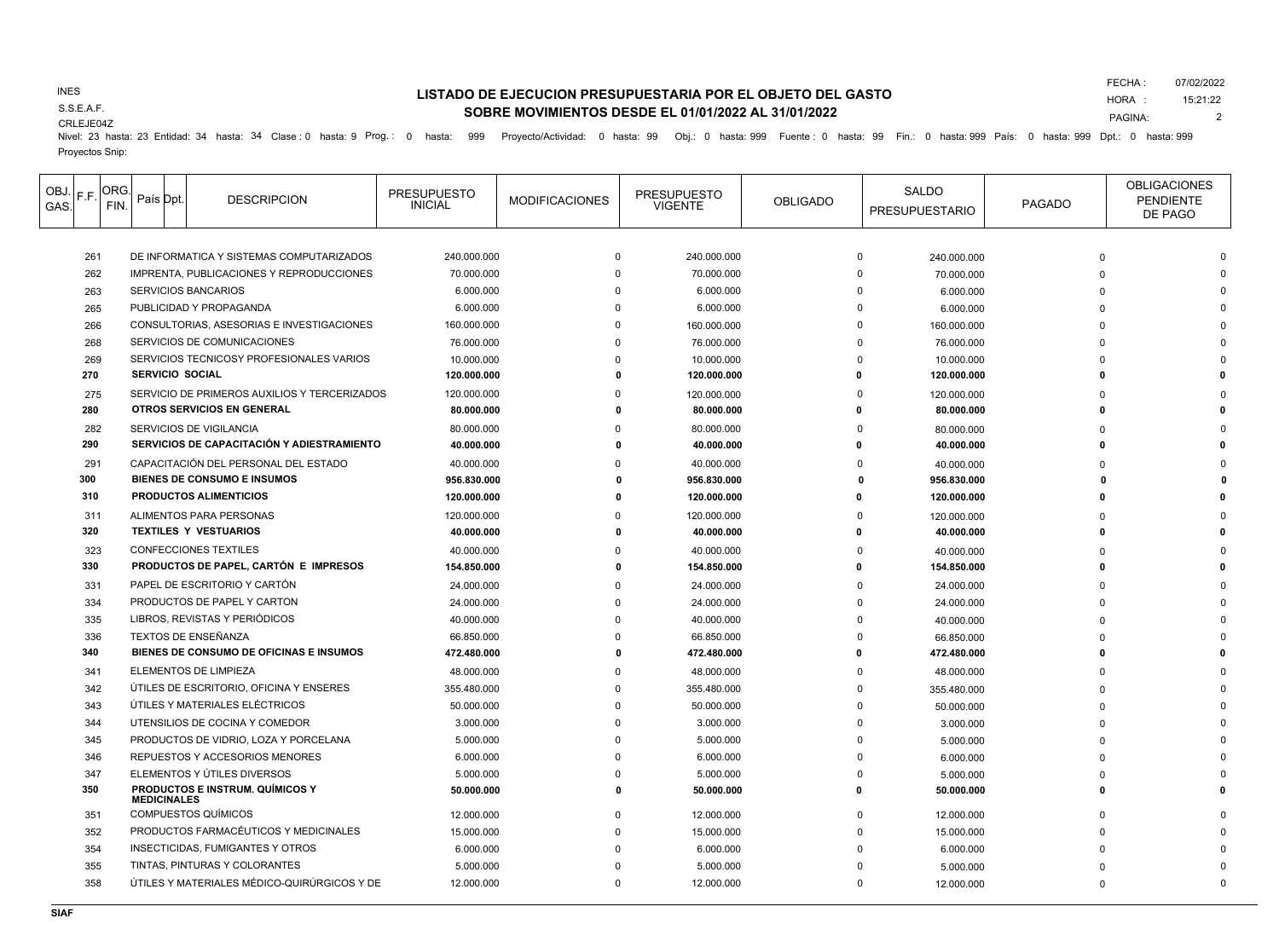## INES

S.S.E.A.F.

# **LISTADO DE EJECUCION PRESUPUESTARIA POR EL OBJETO DEL GASTO SOBRE MOVIMIENTOS DESDE EL 01/01/2022 AL 31/01/2022**

FECHA : 07/02/2022

HORA : PAGINA: 15:21:22 2

CRLEJE04Z

Nivel: 23 hasta: 23 Entidad: 34 hasta: 34 Clase : 0 hasta: 9 Prog.: 0 hasta: 999 Proyecto/Actividad: 0 hasta: 99 Obj.: 0 hasta: 999 Fuente : 0 hasta: 99 Fin.: 0 hasta: 999 País: 0 hasta: 999 Dpt.: 0 hasta: 999

Proyectos Snip:

| OBJ.<br>F.F.<br>GAS. | ORG.<br>FIN. |                                                                      | País Dpt.          | <b>DESCRIPCION</b>                                                           | <b>PRESUPUESTO</b><br><b>INICIAL</b> | <b>MODIFICACIONES</b> | <b>PRESUPUESTO</b><br><b>VIGENTE</b> | <b>OBLIGADO</b> | SALDO<br><b>PRESUPUESTARIO</b>      | <b>PAGADO</b> | <b>OBLIGACIONES</b><br><b>PENDIENTE</b><br>DE PAGO |
|----------------------|--------------|----------------------------------------------------------------------|--------------------|------------------------------------------------------------------------------|--------------------------------------|-----------------------|--------------------------------------|-----------------|-------------------------------------|---------------|----------------------------------------------------|
|                      |              |                                                                      |                    | DE INFORMATICA Y SISTEMAS COMPUTARIZADOS                                     |                                      |                       | 240.000.000                          |                 | $\Omega$                            |               |                                                    |
| 261<br>262           |              |                                                                      |                    | IMPRENTA, PUBLICACIONES Y REPRODUCCIONES                                     | 240.000.000                          | $\mathbf 0$           |                                      |                 | 240.000.000<br>$\Omega$             | $\Omega$      |                                                    |
| 263                  |              |                                                                      |                    |                                                                              | 70.000.000<br>6.000.000              | $\Omega$              | 70.000.000<br>6.000.000              |                 | 70.000.000<br>$\Omega$<br>6.000.000 |               |                                                    |
| 265                  |              | <b>SERVICIOS BANCARIOS</b>                                           |                    |                                                                              | 6.000.000                            | $\Omega$              | 6.000.000                            |                 | $\Omega$<br>6.000.000               |               |                                                    |
| 266                  |              | PUBLICIDAD Y PROPAGANDA<br>CONSULTORIAS, ASESORIAS E INVESTIGACIONES |                    |                                                                              | 160.000.000                          |                       | 160.000.000                          |                 |                                     |               |                                                    |
| 268                  |              |                                                                      |                    | SERVICIOS DE COMUNICACIONES                                                  |                                      |                       | 76.000.000                           |                 | 160.000.000                         |               |                                                    |
|                      |              |                                                                      |                    | SERVICIOS TECNICOSY PROFESIONALES VARIOS                                     | 76.000.000                           |                       |                                      |                 | 76.000.000                          |               |                                                    |
| 269<br>270           |              |                                                                      |                    | <b>SERVICIO SOCIAL</b>                                                       | 10.000.000<br>120.000.000            |                       | 10.000.000<br>120.000.000            |                 | 10.000.000<br>120.000.000           |               |                                                    |
|                      |              |                                                                      |                    | SERVICIO DE PRIMEROS AUXILIOS Y TERCERIZADOS                                 |                                      |                       |                                      |                 |                                     |               |                                                    |
| 275<br>280           |              |                                                                      |                    | OTROS SERVICIOS EN GENERAL                                                   | 120.000.000<br>80.000.000            |                       | 120.000.000<br>80.000.000            |                 | 120.000.000<br>80.000.000           |               |                                                    |
|                      |              |                                                                      |                    |                                                                              |                                      |                       |                                      |                 |                                     |               |                                                    |
| 282<br>290           |              |                                                                      |                    | <b>SERVICIOS DE VIGILANCIA</b><br>SERVICIOS DE CAPACITACIÓN Y ADIESTRAMIENTO | 80.000.000<br>40.000.000             |                       | 80.000.000<br>40.000.000             |                 | 80.000.000<br>40.000.000            | n             |                                                    |
|                      |              |                                                                      |                    |                                                                              |                                      |                       |                                      |                 |                                     |               |                                                    |
| 291<br>300           |              |                                                                      |                    | CAPACITACIÓN DEL PERSONAL DEL ESTADO<br><b>BIENES DE CONSUMO E INSUMOS</b>   | 40.000.000                           |                       | 40.000.000                           |                 | $\Omega$<br>40.000.000              |               |                                                    |
| 310                  |              |                                                                      |                    | <b>PRODUCTOS ALIMENTICIOS</b>                                                | 956.830.000<br>120.000.000           |                       | 956.830.000<br>120.000.000           |                 | 956.830.000<br>120.000.000          |               |                                                    |
|                      |              |                                                                      |                    |                                                                              |                                      |                       |                                      |                 |                                     |               |                                                    |
| 311<br>320           |              |                                                                      |                    | ALIMENTOS PARA PERSONAS<br><b>TEXTILES Y VESTUARIOS</b>                      | 120.000.000<br>40.000.000            |                       | 120.000.000<br>40.000.000            |                 | 120.000.000<br>40.000.000           | n             |                                                    |
|                      |              |                                                                      |                    |                                                                              |                                      |                       |                                      |                 |                                     |               |                                                    |
| 323<br>330           |              |                                                                      |                    | <b>CONFECCIONES TEXTILES</b><br>PRODUCTOS DE PAPEL, CARTÓN E IMPRESOS        | 40.000.000                           |                       | 40.000.000                           |                 | 40.000.000                          |               |                                                    |
|                      |              |                                                                      |                    |                                                                              | 154.850.000                          |                       | 154.850.000                          |                 | 154.850.000                         |               |                                                    |
| 331                  |              |                                                                      |                    | PAPEL DE ESCRITORIO Y CARTÓN                                                 | 24.000.000                           |                       | 24.000.000                           |                 | 24.000.000                          |               |                                                    |
| 334                  |              |                                                                      |                    | PRODUCTOS DE PAPEL Y CARTON                                                  | 24.000.000                           |                       | 24.000.000                           |                 | $\Omega$<br>24.000.000              |               |                                                    |
| 335                  |              |                                                                      |                    | LIBROS, REVISTAS Y PERIÓDICOS                                                | 40.000.000                           |                       | 40.000.000                           |                 | $\Omega$<br>40.000.000              |               |                                                    |
| 336                  |              |                                                                      |                    | <b>TEXTOS DE ENSEÑANZA</b>                                                   | 66.850.000                           |                       | 66.850.000                           |                 | $\Omega$<br>66.850.000              |               |                                                    |
| 340                  |              |                                                                      |                    | BIENES DE CONSUMO DE OFICINAS E INSUMOS                                      | 472.480.000                          |                       | 472.480.000                          |                 | 472.480.000                         |               |                                                    |
| 341                  |              |                                                                      |                    | ELEMENTOS DE LIMPIEZA                                                        | 48.000.000                           |                       | 48.000.000                           |                 | $\Omega$<br>48.000.000              |               |                                                    |
| 342                  |              |                                                                      |                    | ÚTILES DE ESCRITORIO, OFICINA Y ENSERES                                      | 355.480.000                          | $\Omega$              | 355.480.000                          |                 | $\Omega$<br>355.480.000             |               |                                                    |
| 343                  |              |                                                                      |                    | ÚTILES Y MATERIALES ELÉCTRICOS                                               | 50.000.000                           | $\Omega$              | 50.000.000                           |                 | $\Omega$<br>50.000.000              |               |                                                    |
| 344                  |              |                                                                      |                    | UTENSILIOS DE COCINA Y COMEDOR                                               | 3.000.000                            |                       | 3.000.000                            |                 | $\Omega$<br>3.000.000               |               |                                                    |
| 345                  |              |                                                                      |                    | PRODUCTOS DE VIDRIO, LOZA Y PORCELANA                                        | 5.000.000                            |                       | 5.000.000                            |                 | 5.000.000                           |               |                                                    |
| 346                  |              |                                                                      |                    | REPUESTOS Y ACCESORIOS MENORES                                               | 6.000.000                            |                       | 6.000.000                            |                 | 6.000.000                           |               |                                                    |
| 347                  |              |                                                                      |                    | ELEMENTOS Y ÚTILES DIVERSOS                                                  | 5.000.000                            | $\Omega$              | 5.000.000                            |                 | 5.000.000                           |               |                                                    |
| 350                  |              |                                                                      | <b>MEDICINALES</b> | <b>PRODUCTOS E INSTRUM. QUÍMICOS Y</b>                                       | 50.000.000                           | $\Omega$              | 50.000.000                           | n               | 50.000.000                          | n             |                                                    |
| 351                  |              |                                                                      |                    | <b>COMPUESTOS QUÍMICOS</b>                                                   | 12.000.000                           | $\Omega$              | 12.000.000                           |                 | $\Omega$<br>12.000.000              |               |                                                    |
| 352                  |              |                                                                      |                    | PRODUCTOS FARMACÉUTICOS Y MEDICINALES                                        | 15.000.000                           | $\Omega$              | 15.000.000                           |                 | <sup>0</sup><br>15.000.000          |               |                                                    |
| 354                  |              |                                                                      |                    | <b>INSECTICIDAS, FUMIGANTES Y OTROS</b>                                      | 6.000.000                            |                       | 6.000.000                            |                 | 6.000.000                           |               |                                                    |
| 355                  |              |                                                                      |                    | TINTAS. PINTURAS Y COLORANTES                                                | 5.000.000                            |                       | 5.000.000                            |                 | 5.000.000                           |               |                                                    |
| 358                  |              |                                                                      |                    | ÚTILES Y MATERIALES MÉDICO-QUIRÚRGICOS Y DE                                  | 12.000.000                           | $\Omega$              | 12.000.000                           |                 | $\Omega$<br>12.000.000              | n             |                                                    |